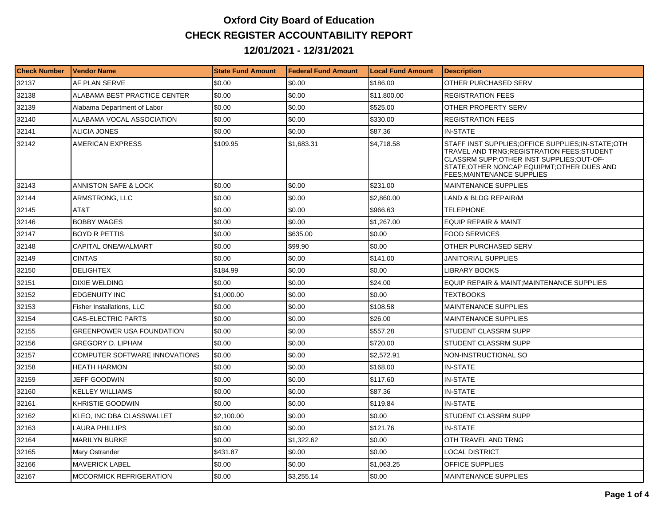## **Oxford City Board of Education CHECK REGISTER ACCOUNTABILITY REPORT 12/01/2021 - 12/31/2021**

| <b>Check Number</b> | Vendor Name                          | <b>State Fund Amount</b> | l Federal Fund Amount | Local Fund Amount | <b>IDescription</b>                                                                                                                                                                                                                 |
|---------------------|--------------------------------------|--------------------------|-----------------------|-------------------|-------------------------------------------------------------------------------------------------------------------------------------------------------------------------------------------------------------------------------------|
| 32137               | AF PLAN SERVE                        | \$0.00                   | \$0.00                | \$186.00          | OTHER PURCHASED SERV                                                                                                                                                                                                                |
| 32138               | <b>ALABAMA BEST PRACTICE CENTER</b>  | \$0.00                   | \$0.00                | \$11,800.00       | <b>REGISTRATION FEES</b>                                                                                                                                                                                                            |
| 32139               | Alabama Department of Labor          | \$0.00                   | \$0.00                | \$525.00          | OTHER PROPERTY SERV                                                                                                                                                                                                                 |
| 32140               | ALABAMA VOCAL ASSOCIATION            | \$0.00                   | \$0.00                | \$330.00          | <b>REGISTRATION FEES</b>                                                                                                                                                                                                            |
| 32141               | <b>ALICIA JONES</b>                  | \$0.00                   | \$0.00                | \$87.36           | <b>IN-STATE</b>                                                                                                                                                                                                                     |
| 32142               | AMERICAN EXPRESS                     | \$109.95                 | \$1,683.31            | \$4,718.58        | STAFF INST SUPPLIES; OFFICE SUPPLIES; IN-STATE; OTH<br>TRAVEL AND TRNG; REGISTRATION FEES; STUDENT<br>CLASSRM SUPP; OTHER INST SUPPLIES; OUT-OF-<br>STATE; OTHER NONCAP EQUIPMT; OTHER DUES AND<br><b>FEES MAINTENANCE SUPPLIES</b> |
| 32143               | ANNISTON SAFE & LOCK                 | \$0.00                   | \$0.00                | \$231.00          | <b>MAINTENANCE SUPPLIES</b>                                                                                                                                                                                                         |
| 32144               | ARMSTRONG, LLC                       | \$0.00                   | \$0.00                | \$2,860.00        | LAND & BLDG REPAIR/M                                                                                                                                                                                                                |
| 32145               | AT&T                                 | \$0.00                   | \$0.00                | \$966.63          | TELEPHONE                                                                                                                                                                                                                           |
| 32146               | <b>BOBBY WAGES</b>                   | \$0.00                   | \$0.00                | \$1.267.00        | <b>EQUIP REPAIR &amp; MAINT</b>                                                                                                                                                                                                     |
| 32147               | <b>BOYD R PETTIS</b>                 | \$0.00                   | \$635.00              | \$0.00            | <b>FOOD SERVICES</b>                                                                                                                                                                                                                |
| 32148               | <b>CAPITAL ONE/WALMART</b>           | \$0.00                   | \$99.90               | \$0.00            | OTHER PURCHASED SERV                                                                                                                                                                                                                |
| 32149               | <b>CINTAS</b>                        | \$0.00                   | \$0.00                | \$141.00          | <b>JANITORIAL SUPPLIES</b>                                                                                                                                                                                                          |
| 32150               | <b>DELIGHTEX</b>                     | \$184.99                 | \$0.00                | \$0.00            | <b>LIBRARY BOOKS</b>                                                                                                                                                                                                                |
| 32151               | DIXIE WELDING                        | \$0.00                   | \$0.00                | \$24.00           | EQUIP REPAIR & MAINT; MAINTENANCE SUPPLIES                                                                                                                                                                                          |
| 32152               | <b>EDGENUITY INC</b>                 | \$1,000.00               | \$0.00                | \$0.00            | TEXTBOOKS                                                                                                                                                                                                                           |
| 32153               | Fisher Installations, LLC            | \$0.00                   | \$0.00                | \$108.58          | <b>MAINTENANCE SUPPLIES</b>                                                                                                                                                                                                         |
| 32154               | <b>GAS-ELECTRIC PARTS</b>            | \$0.00                   | \$0.00                | \$26.00           | <b>MAINTENANCE SUPPLIES</b>                                                                                                                                                                                                         |
| 32155               | <b>GREENPOWER USA FOUNDATION</b>     | \$0.00                   | \$0.00                | \$557.28          | STUDENT CLASSRM SUPP                                                                                                                                                                                                                |
| 32156               | <b>GREGORY D. LIPHAM</b>             | \$0.00                   | \$0.00                | \$720.00          | STUDENT CLASSRM SUPP                                                                                                                                                                                                                |
| 32157               | <b>COMPUTER SOFTWARE INNOVATIONS</b> | \$0.00                   | \$0.00                | \$2,572.91        | NON-INSTRUCTIONAL SO                                                                                                                                                                                                                |
| 32158               | <b>HEATH HARMON</b>                  | \$0.00                   | \$0.00                | \$168.00          | <b>IN-STATE</b>                                                                                                                                                                                                                     |
| 32159               | <b>JEFF GOODWIN</b>                  | \$0.00                   | \$0.00                | \$117.60          | <b>IN-STATE</b>                                                                                                                                                                                                                     |
| 32160               | <b>KELLEY WILLIAMS</b>               | \$0.00                   | \$0.00                | \$87.36           | <b>IN-STATE</b>                                                                                                                                                                                                                     |
| 32161               | KHRISTIE GOODWIN                     | \$0.00                   | \$0.00                | \$119.84          | <b>IN-STATE</b>                                                                                                                                                                                                                     |
| 32162               | KLEO, INC DBA CLASSWALLET            | \$2,100.00               | \$0.00                | \$0.00            | STUDENT CLASSRM SUPP                                                                                                                                                                                                                |
| 32163               | <b>LAURA PHILLIPS</b>                | \$0.00                   | \$0.00                | \$121.76          | <b>IN-STATE</b>                                                                                                                                                                                                                     |
| 32164               | <b>MARILYN BURKE</b>                 | \$0.00                   | \$1,322.62            | \$0.00            | OTH TRAVEL AND TRNG                                                                                                                                                                                                                 |
| 32165               | Mary Ostrander                       | \$431.87                 | \$0.00                | \$0.00            | LOCAL DISTRICT                                                                                                                                                                                                                      |
| 32166               | MAVERICK LABEL                       | \$0.00                   | \$0.00                | \$1,063.25        | <b>OFFICE SUPPLIES</b>                                                                                                                                                                                                              |
| 32167               | MCCORMICK REFRIGERATION              | \$0.00                   | \$3,255.14            | \$0.00            | <b>MAINTENANCE SUPPLIES</b>                                                                                                                                                                                                         |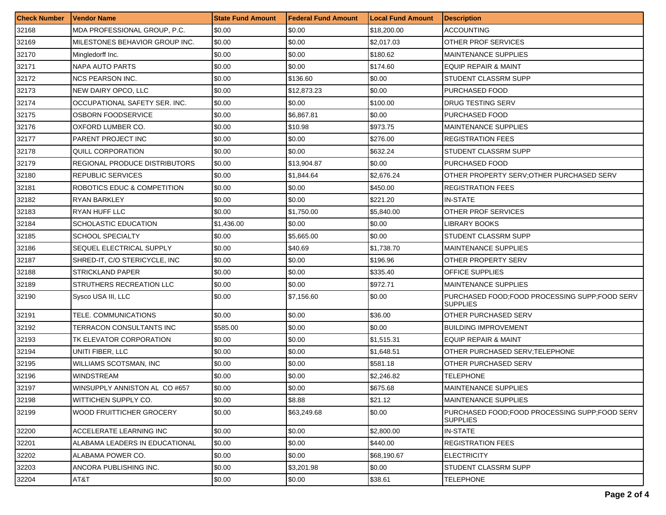| <b>Check Number</b> | <b>Vendor Name</b>                   | <b>State Fund Amount</b> | Federal Fund Amount | <b>Local Fund Amount</b> | <b>Description</b>                                                 |
|---------------------|--------------------------------------|--------------------------|---------------------|--------------------------|--------------------------------------------------------------------|
| 32168               | MDA PROFESSIONAL GROUP, P.C.         | \$0.00                   | \$0.00              | \$18,200.00              | <b>ACCOUNTING</b>                                                  |
| 32169               | MILESTONES BEHAVIOR GROUP INC.       | \$0.00                   | \$0.00              | \$2,017.03               | OTHER PROF SERVICES                                                |
| 32170               | Mingledorff Inc.                     | \$0.00                   | \$0.00              | \$180.62                 | <b>MAINTENANCE SUPPLIES</b>                                        |
| 32171               | <b>NAPA AUTO PARTS</b>               | \$0.00                   | \$0.00              | \$174.60                 | <b>EQUIP REPAIR &amp; MAINT</b>                                    |
| 32172               | <b>NCS PEARSON INC.</b>              | \$0.00                   | \$136.60            | \$0.00                   | STUDENT CLASSRM SUPP                                               |
| 32173               | NEW DAIRY OPCO, LLC                  | \$0.00                   | \$12,873.23         | \$0.00                   | PURCHASED FOOD                                                     |
| 32174               | OCCUPATIONAL SAFETY SER. INC.        | \$0.00                   | \$0.00              | \$100.00                 | DRUG TESTING SERV                                                  |
| 32175               | <b>OSBORN FOODSERVICE</b>            | \$0.00                   | \$6,867.81          | \$0.00                   | PURCHASED FOOD                                                     |
| 32176               | OXFORD LUMBER CO.                    | \$0.00                   | \$10.98             | \$973.75                 | <b>MAINTENANCE SUPPLIES</b>                                        |
| 32177               | PARENT PROJECT INC                   | \$0.00                   | \$0.00              | \$276.00                 | <b>REGISTRATION FEES</b>                                           |
| 32178               | QUILL CORPORATION                    | \$0.00                   | \$0.00              | \$632.24                 | STUDENT CLASSRM SUPP                                               |
| 32179               | <b>REGIONAL PRODUCE DISTRIBUTORS</b> | \$0.00                   | \$13,904.87         | \$0.00                   | PURCHASED FOOD                                                     |
| 32180               | <b>REPUBLIC SERVICES</b>             | \$0.00                   | \$1,844.64          | \$2,676.24               | OTHER PROPERTY SERV; OTHER PURCHASED SERV                          |
| 32181               | ROBOTICS EDUC & COMPETITION          | \$0.00                   | \$0.00              | \$450.00                 | <b>REGISTRATION FEES</b>                                           |
| 32182               | RYAN BARKLEY                         | \$0.00                   | \$0.00              | \$221.20                 | <b>IN-STATE</b>                                                    |
| 32183               | <b>RYAN HUFF LLC</b>                 | \$0.00                   | \$1,750.00          | \$5,840.00               | <b>OTHER PROF SERVICES</b>                                         |
| 32184               | SCHOLASTIC EDUCATION                 | \$1,436.00               | \$0.00              | \$0.00                   | LIBRARY BOOKS                                                      |
| 32185               | <b>SCHOOL SPECIALTY</b>              | \$0.00                   | \$5,665.00          | \$0.00                   | STUDENT CLASSRM SUPP                                               |
| 32186               | SEQUEL ELECTRICAL SUPPLY             | \$0.00                   | \$40.69             | \$1,738.70               | <b>MAINTENANCE SUPPLIES</b>                                        |
| 32187               | SHRED-IT, C/O STERICYCLE, INC        | \$0.00                   | \$0.00              | \$196.96                 | OTHER PROPERTY SERV                                                |
| 32188               | <b>STRICKLAND PAPER</b>              | \$0.00                   | \$0.00              | \$335.40                 | OFFICE SUPPLIES                                                    |
| 32189               | STRUTHERS RECREATION LLC             | \$0.00                   | \$0.00              | \$972.71                 | <b>MAINTENANCE SUPPLIES</b>                                        |
| 32190               | Sysco USA III, LLC                   | \$0.00                   | \$7,156.60          | \$0.00                   | PURCHASED FOOD; FOOD PROCESSING SUPP; FOOD SERV<br><b>SUPPLIES</b> |
| 32191               | TELE. COMMUNICATIONS                 | \$0.00                   | \$0.00              | \$36.00                  | OTHER PURCHASED SERV                                               |
| 32192               | TERRACON CONSULTANTS INC             | \$585.00                 | \$0.00              | \$0.00                   | <b>BUILDING IMPROVEMENT</b>                                        |
| 32193               | TK ELEVATOR CORPORATION              | \$0.00                   | \$0.00              | \$1,515.31               | <b>EQUIP REPAIR &amp; MAINT</b>                                    |
| 32194               | UNITI FIBER, LLC                     | \$0.00                   | \$0.00              | \$1,648.51               | OTHER PURCHASED SERV;TELEPHONE                                     |
| 32195               | <b>WILLIAMS SCOTSMAN, INC.</b>       | \$0.00                   | \$0.00              | \$581.18                 | OTHER PURCHASED SERV                                               |
| 32196               | <b>WINDSTREAM</b>                    | \$0.00                   | \$0.00              | \$2,246.82               | TELEPHONE                                                          |
| 32197               | WINSUPPLY ANNISTON AL CO #657        | \$0.00                   | \$0.00              | \$675.68                 | MAINTENANCE SUPPLIES                                               |
| 32198               | WITTICHEN SUPPLY CO.                 | \$0.00                   | \$8.88              | \$21.12                  | <b>MAINTENANCE SUPPLIES</b>                                        |
| 32199               | WOOD FRUITTICHER GROCERY             | \$0.00                   | \$63,249.68         | \$0.00                   | PURCHASED FOOD;FOOD PROCESSING SUPP;FOOD SERV<br><b>SUPPLIES</b>   |
| 32200               | ACCELERATE LEARNING INC              | \$0.00                   | \$0.00              | \$2,800.00               | <b>IN-STATE</b>                                                    |
| 32201               | ALABAMA LEADERS IN EDUCATIONAL       | \$0.00                   | \$0.00              | \$440.00                 | <b>REGISTRATION FEES</b>                                           |
| 32202               | ALABAMA POWER CO.                    | \$0.00                   | \$0.00              | \$68,190.67              | <b>ELECTRICITY</b>                                                 |
| 32203               | ANCORA PUBLISHING INC.               | \$0.00                   | \$3,201.98          | \$0.00                   | STUDENT CLASSRM SUPP                                               |
| 32204               | AT&T                                 | \$0.00                   | \$0.00              | \$38.61                  | <b>TELEPHONE</b>                                                   |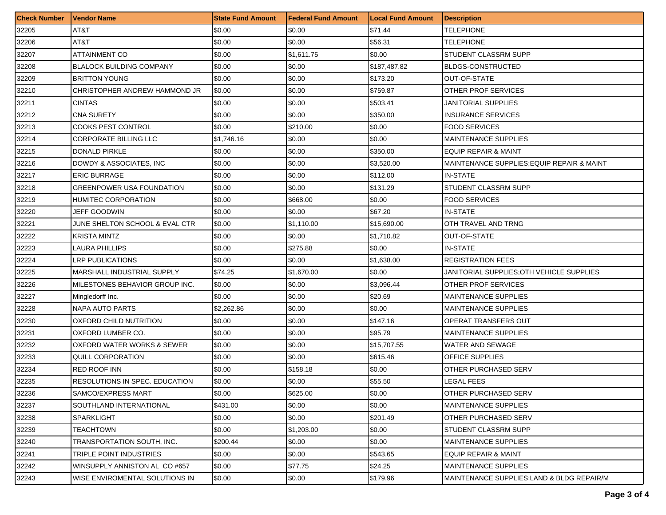| <b>Check Number</b> | <b>Vendor Name</b>               | <b>State Fund Amount</b> | Federal Fund Amount | <b>Local Fund Amount</b> | <b>Description</b>                         |
|---------------------|----------------------------------|--------------------------|---------------------|--------------------------|--------------------------------------------|
| 32205               | AT8T                             | \$0.00                   | \$0.00              | \$71.44                  | TELEPHONE                                  |
| 32206               | AT&T                             | \$0.00                   | \$0.00              | \$56.31                  | TELEPHONE                                  |
| 32207               | ATTAINMENT CO                    | \$0.00                   | \$1,611.75          | \$0.00                   | STUDENT CLASSRM SUPP                       |
| 32208               | <b>BLALOCK BUILDING COMPANY</b>  | \$0.00                   | \$0.00              | \$187,487.82             | <b>BLDGS-CONSTRUCTED</b>                   |
| 32209               | <b>BRITTON YOUNG</b>             | \$0.00                   | \$0.00              | \$173.20                 | OUT-OF-STATE                               |
| 32210               | CHRISTOPHER ANDREW HAMMOND JR    | \$0.00                   | \$0.00              | \$759.87                 | OTHER PROF SERVICES                        |
| 32211               | <b>CINTAS</b>                    | \$0.00                   | \$0.00              | \$503.41                 | <b>JANITORIAL SUPPLIES</b>                 |
| 32212               | <b>CNA SURETY</b>                | \$0.00                   | \$0.00              | \$350.00                 | <b>INSURANCE SERVICES</b>                  |
| 32213               | <b>COOKS PEST CONTROL</b>        | \$0.00                   | \$210.00            | \$0.00                   | <b>FOOD SERVICES</b>                       |
| 32214               | CORPORATE BILLING LLC            | \$1,746.16               | \$0.00              | \$0.00                   | MAINTENANCE SUPPLIES                       |
| 32215               | <b>DONALD PIRKLE</b>             | \$0.00                   | \$0.00              | \$350.00                 | EQUIP REPAIR & MAINT                       |
| 32216               | DOWDY & ASSOCIATES, INC          | \$0.00                   | \$0.00              | \$3,520.00               | MAINTENANCE SUPPLIES; EQUIP REPAIR & MAINT |
| 32217               | <b>ERIC BURRAGE</b>              | \$0.00                   | \$0.00              | \$112.00                 | <b>IN-STATE</b>                            |
| 32218               | <b>GREENPOWER USA FOUNDATION</b> | \$0.00                   | \$0.00              | \$131.29                 | STUDENT CLASSRM SUPP                       |
| 32219               | HUMITEC CORPORATION              | \$0.00                   | \$668.00            | \$0.00                   | <b>FOOD SERVICES</b>                       |
| 32220               | JEFF GOODWIN                     | \$0.00                   | \$0.00              | \$67.20                  | IN-STATE                                   |
| 32221               | JUNE SHELTON SCHOOL & EVAL CTR   | \$0.00                   | \$1.110.00          | \$15,690.00              | OTH TRAVEL AND TRNG                        |
| 32222               | <b>KRISTA MINTZ</b>              | \$0.00                   | \$0.00              | \$1,710.82               | OUT-OF-STATE                               |
| 32223               | LAURA PHILLIPS                   | \$0.00                   | \$275.88            | \$0.00                   | IN-STATE                                   |
| 32224               | <b>LRP PUBLICATIONS</b>          | \$0.00                   | \$0.00              | \$1,638.00               | <b>REGISTRATION FEES</b>                   |
| 32225               | MARSHALL INDUSTRIAL SUPPLY       | \$74.25                  | \$1,670.00          | \$0.00                   | JANITORIAL SUPPLIES:OTH VEHICLE SUPPLIES   |
| 32226               | MILESTONES BEHAVIOR GROUP INC.   | \$0.00                   | \$0.00              | \$3,096.44               | OTHER PROF SERVICES                        |
| 32227               | Mingledorff Inc.                 | \$0.00                   | \$0.00              | \$20.69                  | <b>MAINTENANCE SUPPLIES</b>                |
| 32228               | NAPA AUTO PARTS                  | \$2,262.86               | \$0.00              | \$0.00                   | <b>MAINTENANCE SUPPLIES</b>                |
| 32230               | OXFORD CHILD NUTRITION           | \$0.00                   | \$0.00              | \$147.16                 | OPERAT TRANSFERS OUT                       |
| 32231               | OXFORD LUMBER CO.                | \$0.00                   | \$0.00              | \$95.79                  | <b>MAINTENANCE SUPPLIES</b>                |
| 32232               | OXFORD WATER WORKS & SEWER       | \$0.00                   | \$0.00              | \$15,707.55              | WATER AND SEWAGE                           |
| 32233               | <b>QUILL CORPORATION</b>         | \$0.00                   | \$0.00              | \$615.46                 | OFFICE SUPPLIES                            |
| 32234               | <b>RED ROOF INN</b>              | \$0.00                   | \$158.18            | \$0.00                   | OTHER PURCHASED SERV                       |
| 32235               | RESOLUTIONS IN SPEC. EDUCATION   | \$0.00                   | \$0.00              | \$55.50                  | <b>LEGAL FEES</b>                          |
| 32236               | SAMCO/EXPRESS MART               | \$0.00                   | \$625.00            | \$0.00                   | OTHER PURCHASED SERV                       |
| 32237               | SOUTHLAND INTERNATIONAL          | \$431.00                 | \$0.00              | \$0.00                   | MAINTENANCE SUPPLIES                       |
| 32238               | SPARKLIGHT                       | \$0.00                   | \$0.00              | \$201.49                 | OTHER PURCHASED SERV                       |
| 32239               | TEACHTOWN                        | \$0.00                   | \$1,203.00          | \$0.00                   | STUDENT CLASSRM SUPP                       |
| 32240               | TRANSPORTATION SOUTH, INC.       | \$200.44                 | \$0.00              | \$0.00                   | MAINTENANCE SUPPLIES                       |
| 32241               | TRIPLE POINT INDUSTRIES          | \$0.00                   | \$0.00              | \$543.65                 | <b>EQUIP REPAIR &amp; MAINT</b>            |
| 32242               | WINSUPPLY ANNISTON AL CO#657     | \$0.00                   | \$77.75             | \$24.25                  | MAINTENANCE SUPPLIES                       |
| 32243               | WISE ENVIROMENTAL SOLUTIONS IN   | \$0.00                   | \$0.00              | \$179.96                 | MAINTENANCE SUPPLIES: LAND & BLDG REPAIR/M |